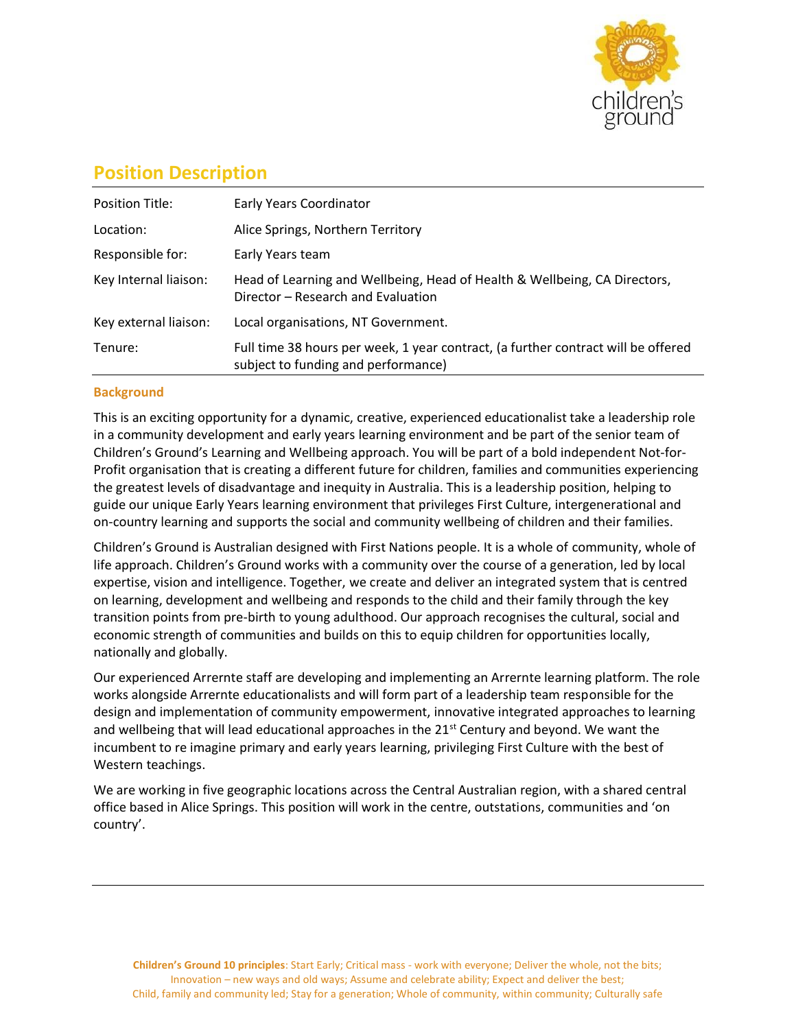

# **Position Description**

| <b>Position Title:</b> | Early Years Coordinator                                                                                                  |
|------------------------|--------------------------------------------------------------------------------------------------------------------------|
| Location:              | Alice Springs, Northern Territory                                                                                        |
| Responsible for:       | Early Years team                                                                                                         |
| Key Internal liaison:  | Head of Learning and Wellbeing, Head of Health & Wellbeing, CA Directors,<br>Director – Research and Evaluation          |
| Key external liaison:  | Local organisations, NT Government.                                                                                      |
| Tenure:                | Full time 38 hours per week, 1 year contract, (a further contract will be offered<br>subject to funding and performance) |

# **Background**

This is an exciting opportunity for a dynamic, creative, experienced educationalist take a leadership role in a community development and early years learning environment and be part of the senior team of Children's Ground's Learning and Wellbeing approach. You will be part of a bold independent Not-for-Profit organisation that is creating a different future for children, families and communities experiencing the greatest levels of disadvantage and inequity in Australia. This is a leadership position, helping to guide our unique Early Years learning environment that privileges First Culture, intergenerational and on-country learning and supports the social and community wellbeing of children and their families.

Children's Ground is Australian designed with First Nations people. It is a whole of community, whole of life approach. Children's Ground works with a community over the course of a generation, led by local expertise, vision and intelligence. Together, we create and deliver an integrated system that is centred on learning, development and wellbeing and responds to the child and their family through the key transition points from pre-birth to young adulthood. Our approach recognises the cultural, social and economic strength of communities and builds on this to equip children for opportunities locally, nationally and globally.

Our experienced Arrernte staff are developing and implementing an Arrernte learning platform. The role works alongside Arrernte educationalists and will form part of a leadership team responsible for the design and implementation of community empowerment, innovative integrated approaches to learning and wellbeing that will lead educational approaches in the  $21<sup>st</sup>$  Century and beyond. We want the incumbent to re imagine primary and early years learning, privileging First Culture with the best of Western teachings.

We are working in five geographic locations across the Central Australian region, with a shared central office based in Alice Springs. This position will work in the centre, outstations, communities and 'on country'.

**Children's Ground 10 principles**: Start Early; Critical mass - work with everyone; Deliver the whole, not the bits; Innovation – new ways and old ways; Assume and celebrate ability; Expect and deliver the best; Child, family and community led; Stay for a generation; Whole of community, within community; Culturally safe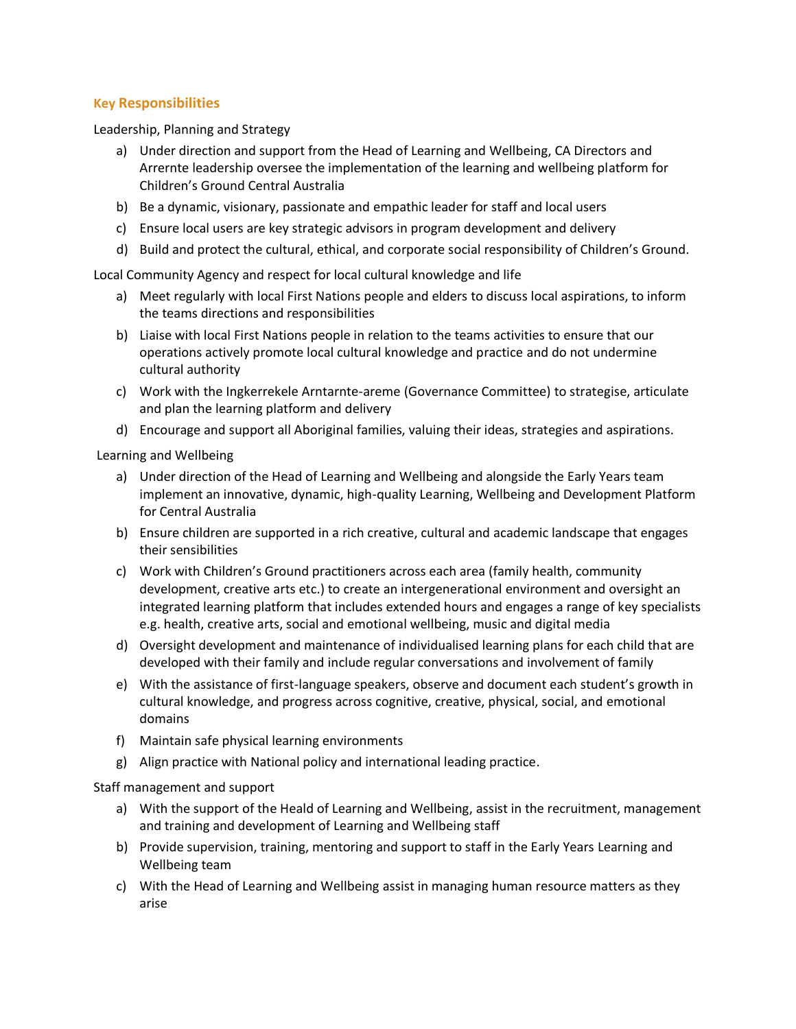# **Key Responsibilities**

Leadership, Planning and Strategy

- a) Under direction and support from the Head of Learning and Wellbeing, CA Directors and Arrernte leadership oversee the implementation of the learning and wellbeing platform for Children's Ground Central Australia
- b) Be a dynamic, visionary, passionate and empathic leader for staff and local users
- c) Ensure local users are key strategic advisors in program development and delivery
- d) Build and protect the cultural, ethical, and corporate social responsibility of Children's Ground.

Local Community Agency and respect for local cultural knowledge and life

- a) Meet regularly with local First Nations people and elders to discuss local aspirations, to inform the teams directions and responsibilities
- b) Liaise with local First Nations people in relation to the teams activities to ensure that our operations actively promote local cultural knowledge and practice and do not undermine cultural authority
- c) Work with the Ingkerrekele Arntarnte-areme (Governance Committee) to strategise, articulate and plan the learning platform and delivery
- d) Encourage and support all Aboriginal families, valuing their ideas, strategies and aspirations.

Learning and Wellbeing

- a) Under direction of the Head of Learning and Wellbeing and alongside the Early Years team implement an innovative, dynamic, high-quality Learning, Wellbeing and Development Platform for Central Australia
- b) Ensure children are supported in a rich creative, cultural and academic landscape that engages their sensibilities
- c) Work with Children's Ground practitioners across each area (family health, community development, creative arts etc.) to create an intergenerational environment and oversight an integrated learning platform that includes extended hours and engages a range of key specialists e.g. health, creative arts, social and emotional wellbeing, music and digital media
- d) Oversight development and maintenance of individualised learning plans for each child that are developed with their family and include regular conversations and involvement of family
- e) With the assistance of first-language speakers, observe and document each student's growth in cultural knowledge, and progress across cognitive, creative, physical, social, and emotional domains
- f) Maintain safe physical learning environments
- g) Align practice with National policy and international leading practice.

Staff management and support

- a) With the support of the Heald of Learning and Wellbeing, assist in the recruitment, management and training and development of Learning and Wellbeing staff
- b) Provide supervision, training, mentoring and support to staff in the Early Years Learning and Wellbeing team
- c) With the Head of Learning and Wellbeing assist in managing human resource matters as they arise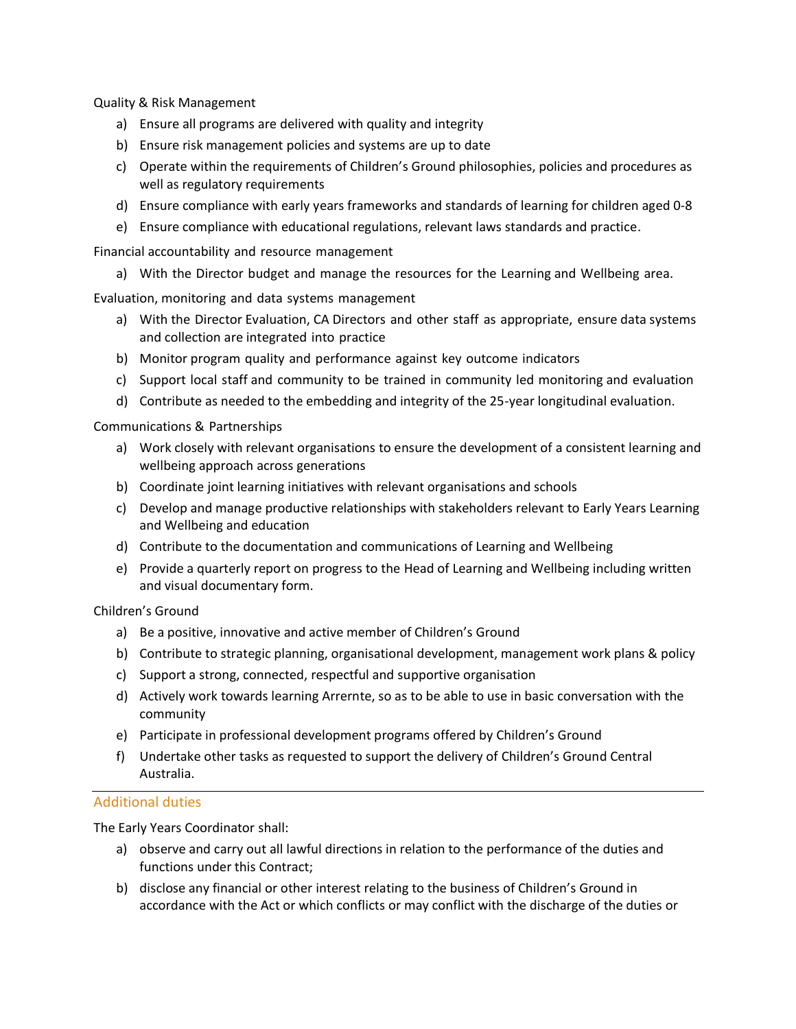Quality & Risk Management

- a) Ensure all programs are delivered with quality and integrity
- b) Ensure risk management policies and systems are up to date
- c) Operate within the requirements of Children's Ground philosophies, policies and procedures as well as regulatory requirements
- d) Ensure compliance with early years frameworks and standards of learning for children aged 0‐8
- e) Ensure compliance with educational regulations, relevant laws standards and practice.

Financial accountability and resource management

a) With the Director budget and manage the resources for the Learning and Wellbeing area.

Evaluation, monitoring and data systems management

- a) With the Director Evaluation, CA Directors and other staff as appropriate, ensure data systems and collection are integrated into practice
- b) Monitor program quality and performance against key outcome indicators
- c) Support local staff and community to be trained in community led monitoring and evaluation
- d) Contribute as needed to the embedding and integrity of the 25-year longitudinal evaluation.

Communications & Partnerships

- a) Work closely with relevant organisations to ensure the development of a consistent learning and wellbeing approach across generations
- b) Coordinate joint learning initiatives with relevant organisations and schools
- c) Develop and manage productive relationships with stakeholders relevant to Early Years Learning and Wellbeing and education
- d) Contribute to the documentation and communications of Learning and Wellbeing
- e) Provide a quarterly report on progress to the Head of Learning and Wellbeing including written and visual documentary form.

Children's Ground

- a) Be a positive, innovative and active member of Children's Ground
- b) Contribute to strategic planning, organisational development, management work plans & policy
- c) Support a strong, connected, respectful and supportive organisation
- d) Actively work towards learning Arrernte, so as to be able to use in basic conversation with the community
- e) Participate in professional development programs offered by Children's Ground
- f) Undertake other tasks as requested to support the delivery of Children's Ground Central Australia.

## Additional duties

The Early Years Coordinator shall:

- a) observe and carry out all lawful directions in relation to the performance of the duties and functions under this Contract;
- b) disclose any financial or other interest relating to the business of Children's Ground in accordance with the Act or which conflicts or may conflict with the discharge of the duties or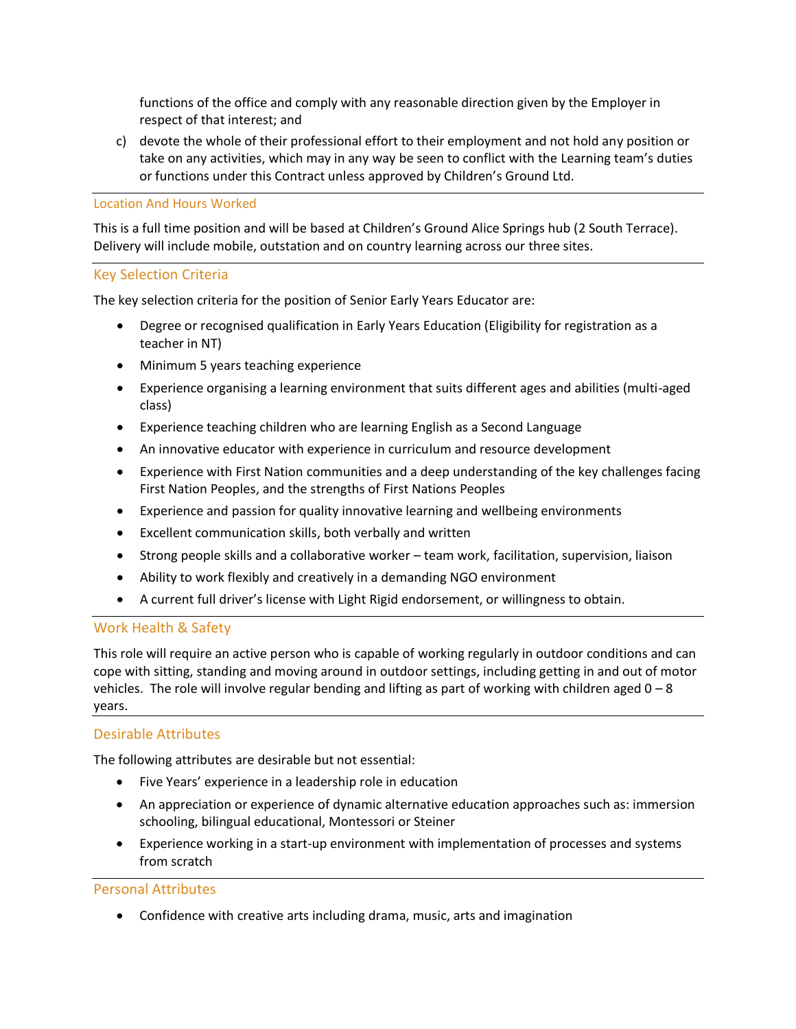functions of the office and comply with any reasonable direction given by the Employer in respect of that interest; and

c) devote the whole of their professional effort to their employment and not hold any position or take on any activities, which may in any way be seen to conflict with the Learning team's duties or functions under this Contract unless approved by Children's Ground Ltd.

#### Location And Hours Worked

This is a full time position and will be based at Children's Ground Alice Springs hub (2 South Terrace). Delivery will include mobile, outstation and on country learning across our three sites.

## Key Selection Criteria

The key selection criteria for the position of Senior Early Years Educator are:

- Degree or recognised qualification in Early Years Education (Eligibility for registration as a teacher in NT)
- Minimum 5 years teaching experience
- Experience organising a learning environment that suits different ages and abilities (multi-aged class)
- Experience teaching children who are learning English as a Second Language
- An innovative educator with experience in curriculum and resource development
- Experience with First Nation communities and a deep understanding of the key challenges facing First Nation Peoples, and the strengths of First Nations Peoples
- Experience and passion for quality innovative learning and wellbeing environments
- Excellent communication skills, both verbally and written
- Strong people skills and a collaborative worker team work, facilitation, supervision, liaison
- Ability to work flexibly and creatively in a demanding NGO environment
- A current full driver's license with Light Rigid endorsement, or willingness to obtain.

#### Work Health & Safety

This role will require an active person who is capable of working regularly in outdoor conditions and can cope with sitting, standing and moving around in outdoor settings, including getting in and out of motor vehicles. The role will involve regular bending and lifting as part of working with children aged  $0 - 8$ years.

#### Desirable Attributes

The following attributes are desirable but not essential:

- Five Years' experience in a leadership role in education
- An appreciation or experience of dynamic alternative education approaches such as: immersion schooling, bilingual educational, Montessori or Steiner
- Experience working in a start-up environment with implementation of processes and systems from scratch

#### Personal Attributes

• Confidence with creative arts including drama, music, arts and imagination